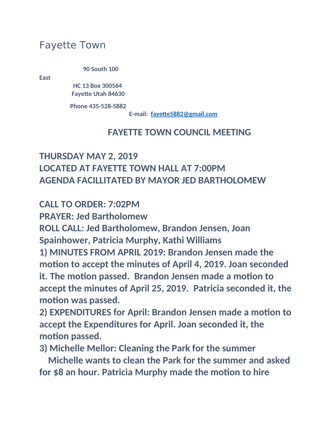# Fayette Town

**90 South 100** 

**East**

 **HC 13 Box 300564 Fayette Utah 84630**

**Phone 435-528-5882**

**E-mail: [fayette5882@gmail.com](mailto:fayette5882@gmail.com)**

#### **FAYETTE TOWN COUNCIL MEETING**

# **THURSDAY MAY 2, 2019 LOCATED AT FAYETTE TOWN HALL AT 7:00PM AGENDA FACILLITATED BY MAYOR JED BARTHOLOMEW**

**CALL TO ORDER: 7:02PM**

**PRAYER: Jed Bartholomew**

**ROLL CALL: Jed Bartholomew, Brandon Jensen, Joan Spainhower, Patricia Murphy, Kathi Williams 1) MINUTES FROM APRIL 2019: Brandon Jensen made the motion to accept the minutes of April 4, 2019. Joan seconded it. The motion passed. Brandon Jensen made a motion to accept the minutes of April 25, 2019. Patricia seconded it, the motion was passed.**

**2) EXPENDITURES for April: Brandon Jensen made a motion to accept the Expenditures for April. Joan seconded it, the motion passed.**

**3) Michelle Mellor: Cleaning the Park for the summer**

 **Michelle wants to clean the Park for the summer and asked for \$8 an hour. Patricia Murphy made the motion to hire**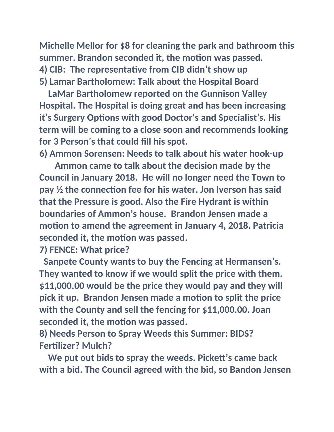**Michelle Mellor for \$8 for cleaning the park and bathroom this summer. Brandon seconded it, the motion was passed. 4) CIB: The representative from CIB didn't show up 5) Lamar Bartholomew: Talk about the Hospital Board**

 **LaMar Bartholomew reported on the Gunnison Valley Hospital. The Hospital is doing great and has been increasing it's Surgery Options with good Doctor's and Specialist's. His term will be coming to a close soon and recommends looking for 3 Person's that could fill his spot.**

**6) Ammon Sorensen: Needs to talk about his water hook-up**

 **Ammon came to talk about the decision made by the Council in January 2018. He will no longer need the Town to pay ½ the connection fee for his water. Jon Iverson has said that the Pressure is good. Also the Fire Hydrant is within boundaries of Ammon's house. Brandon Jensen made a motion to amend the agreement in January 4, 2018. Patricia seconded it, the motion was passed.**

**7) FENCE: What price?**

 **Sanpete County wants to buy the Fencing at Hermansen's. They wanted to know if we would split the price with them. \$11,000.00 would be the price they would pay and they will pick it up. Brandon Jensen made a motion to split the price with the County and sell the fencing for \$11,000.00. Joan seconded it, the motion was passed.**

**8) Needs Person to Spray Weeds this Summer: BIDS? Fertilizer? Mulch?**

 **We put out bids to spray the weeds. Pickett's came back with a bid. The Council agreed with the bid, so Bandon Jensen**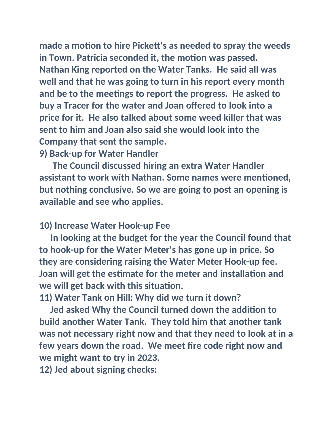**made a motion to hire Pickett's as needed to spray the weeds in Town. Patricia seconded it, the motion was passed. Nathan King reported on the Water Tanks. He said all was well and that he was going to turn in his report every month and be to the meetings to report the progress. He asked to buy a Tracer for the water and Joan offered to look into a price for it. He also talked about some weed killer that was sent to him and Joan also said she would look into the Company that sent the sample.**

### **9) Back-up for Water Handler**

 **The Council discussed hiring an extra Water Handler assistant to work with Nathan. Some names were mentioned, but nothing conclusive. So we are going to post an opening is available and see who applies.**

### **10) Increase Water Hook-up Fee**

 **In looking at the budget for the year the Council found that to hook-up for the Water Meter's has gone up in price. So they are considering raising the Water Meter Hook-up fee. Joan will get the estimate for the meter and installation and we will get back with this situation.**

**11) Water Tank on Hill: Why did we turn it down?**

 **Jed asked Why the Council turned down the addition to build another Water Tank. They told him that another tank was not necessary right now and that they need to look at in a few years down the road. We meet fire code right now and we might want to try in 2023.**

**12) Jed about signing checks:**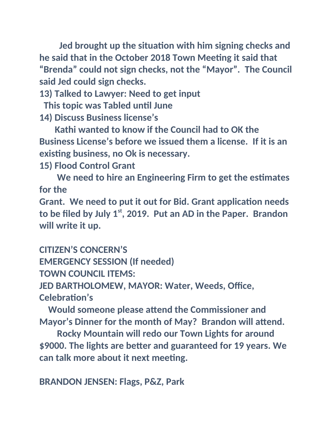**Jed brought up the situation with him signing checks and he said that in the October 2018 Town Meeting it said that "Brenda" could not sign checks, not the "Mayor". The Council said Jed could sign checks.**

**13) Talked to Lawyer: Need to get input**

 **This topic was Tabled until June**

**14) Discuss Business license's**

 **Kathi wanted to know if the Council had to OK the Business License's before we issued them a license. If it is an existing business, no Ok is necessary.**

**15) Flood Control Grant**

 **We need to hire an Engineering Firm to get the estimates for the**

**Grant. We need to put it out for Bid. Grant application needs to be filed by July 1st, 2019. Put an AD in the Paper. Brandon will write it up.**

**CITIZEN'S CONCERN'S**

**EMERGENCY SESSION (If needed)**

**TOWN COUNCIL ITEMS:**

**JED BARTHOLOMEW, MAYOR: Water, Weeds, Office, Celebration's**

 **Would someone please attend the Commissioner and Mayor's Dinner for the month of May? Brandon will attend.**

 **Rocky Mountain will redo our Town Lights for around \$9000. The lights are better and guaranteed for 19 years. We can talk more about it next meeting.**

**BRANDON JENSEN: Flags, P&Z, Park**